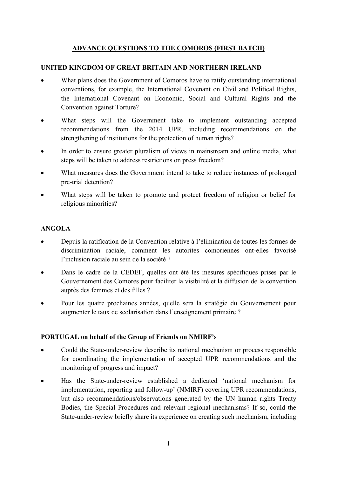## ADVANCE QUESTIONS TO THE COMOROS (FIRST BATCH)

## UNITED KINGDOM OF GREAT BRITAIN AND NORTHERN IRELAND

- What plans does the Government of Comoros have to ratify outstanding international conventions, for example, the International Covenant on Civil and Political Rights, the International Covenant on Economic, Social and Cultural Rights and the Convention against Torture?
- What steps will the Government take to implement outstanding accepted recommendations from the 2014 UPR, including recommendations on the strengthening of institutions for the protection of human rights?
- In order to ensure greater pluralism of views in mainstream and online media, what steps will be taken to address restrictions on press freedom?
- What measures does the Government intend to take to reduce instances of prolonged pre-trial detention?
- What steps will be taken to promote and protect freedom of religion or belief for religious minorities?

## ANGOLA

- Depuis la ratification de la Convention relative à l'élimination de toutes les formes de discrimination raciale, comment les autorités comoriennes ont-elles favorisé l'inclusion raciale au sein de la société ?
- Dans le cadre de la CEDEF, quelles ont été les mesures spécifiques prises par le Gouvernement des Comores pour faciliter la visibilité et la diffusion de la convention auprès des femmes et des filles ?
- Pour les quatre prochaines années, quelle sera la stratégie du Gouvernement pour augmenter le taux de scolarisation dans l'enseignement primaire ?

## PORTUGAL on behalf of the Group of Friends on NMIRF's

- Could the State-under-review describe its national mechanism or process responsible for coordinating the implementation of accepted UPR recommendations and the monitoring of progress and impact?
- Has the State-under-review established a dedicated 'national mechanism for implementation, reporting and follow-up' (NMIRF) covering UPR recommendations, but also recommendations/observations generated by the UN human rights Treaty Bodies, the Special Procedures and relevant regional mechanisms? If so, could the State-under-review briefly share its experience on creating such mechanism, including